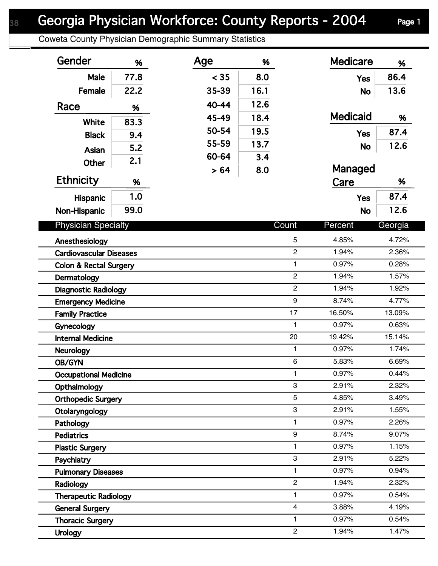## Georgia Physician Workforce: County Reports - 2004 Page 1

Coweta County Physician Demographic Summary Statistics

| Gender                                           | %    | Age       | %              |                | <b>Medicare</b> | %       |
|--------------------------------------------------|------|-----------|----------------|----------------|-----------------|---------|
| <b>Male</b>                                      | 77.8 | < 35      | 8.0            |                | <b>Yes</b>      | 86.4    |
| Female                                           | 22.2 | 35-39     | 16.1           |                | <b>No</b>       | 13.6    |
| Race                                             | %    | $40 - 44$ | 12.6           |                |                 |         |
|                                                  |      | 45-49     | 18.4           |                | <b>Medicaid</b> | %       |
| White                                            | 83.3 | 50-54     | 19.5           |                | <b>Yes</b>      | 87.4    |
| <b>Black</b>                                     | 9.4  | 55-59     | 13.7           |                |                 | 12.6    |
| <b>Asian</b>                                     | 5.2  | 60-64     | 3.4            |                | <b>No</b>       |         |
| <b>Other</b>                                     | 2.1  | > 64      | 8.0            |                | Managed         |         |
| <b>Ethnicity</b>                                 | %    |           |                |                | Care            | %       |
| Hispanic                                         | 1.0  |           |                |                | <b>Yes</b>      | 87.4    |
| Non-Hispanic                                     | 99.0 |           |                |                | <b>No</b>       | 12.6    |
| <b>Physician Specialty</b>                       |      |           |                | Count          | Percent         | Georgia |
| Anesthesiology                                   |      |           |                | 5              | 4.85%           | 4.72%   |
| $\overline{2}$<br><b>Cardiovascular Diseases</b> |      |           |                |                | 1.94%           | 2.36%   |
| 1<br><b>Colon &amp; Rectal Surgery</b>           |      |           |                | 0.97%          | 0.28%           |         |
| Dermatology                                      |      |           | $\overline{2}$ | 1.94%          | 1.57%           |         |
| <b>Diagnostic Radiology</b>                      |      |           |                | $\overline{2}$ | 1.94%           | 1.92%   |
| <b>Emergency Medicine</b>                        |      |           | 9              | 8.74%          | 4.77%           |         |
| <b>Family Practice</b>                           |      |           |                | 17             | 16.50%          | 13.09%  |
| Gynecology                                       |      |           |                | 1              | 0.97%           | 0.63%   |
| <b>Internal Medicine</b>                         |      |           |                | 20             | 19.42%          | 15.14%  |
| <b>Neurology</b>                                 |      |           |                | 1              | 0.97%           | 1.74%   |
| OB/GYN                                           |      |           |                | 6              | 5.83%           | 6.69%   |
| <b>Occupational Medicine</b>                     |      |           |                | $\mathbf{1}$   | 0.97%           | 0.44%   |
| Opthalmology                                     |      |           | 3              | 2.91%          | 2.32%           |         |
| 5<br><b>Orthopedic Surgery</b>                   |      |           |                | 4.85%          | 3.49%           |         |
| 3<br>Otolaryngology                              |      |           |                | 2.91%          | 1.55%           |         |
| $\mathbf{1}$<br>Pathology                        |      |           |                | 0.97%          | 2.26%           |         |
| 9<br><b>Pediatrics</b>                           |      |           |                | 8.74%          | 9.07%           |         |
| 1<br><b>Plastic Surgery</b>                      |      |           |                | 0.97%          | 1.15%           |         |
| Psychiatry                                       |      |           |                | 3              | 2.91%           | 5.22%   |
| <b>Pulmonary Diseases</b>                        |      |           |                | 1              | 0.97%           | 0.94%   |
| Radiology                                        |      |           | $\overline{c}$ | 1.94%          | 2.32%           |         |
| <b>Therapeutic Radiology</b>                     |      |           | $\mathbf{1}$   | 0.97%          | 0.54%           |         |
| <b>General Surgery</b>                           |      |           | 4              | 3.88%          | 4.19%           |         |
| <b>Thoracic Surgery</b>                          |      |           |                | $\mathbf{1}$   | 0.97%           | 0.54%   |
| <b>Urology</b>                                   |      |           |                | $\mathbf{2}$   | 1.94%           | 1.47%   |